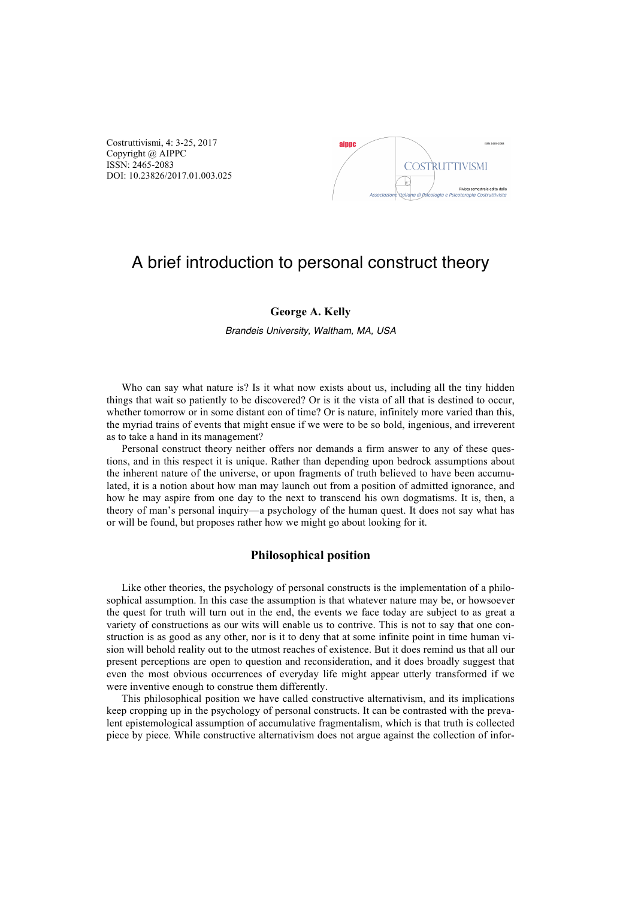Costruttivismi, 4: 3-25, 2017 Copyright @ AIPPC ISSN: 2465-2083 DOI: 10.23826/2017.01.003.025



# A brief introduction to personal construct theory

**George A. Kelly**

*Brandeis University, Waltham, MA, USA*

Who can say what nature is? Is it what now exists about us, including all the tiny hidden things that wait so patiently to be discovered? Or is it the vista of all that is destined to occur, whether tomorrow or in some distant eon of time? Or is nature, infinitely more varied than this, the myriad trains of events that might ensue if we were to be so bold, ingenious, and irreverent as to take a hand in its management?

Personal construct theory neither offers nor demands a firm answer to any of these questions, and in this respect it is unique. Rather than depending upon bedrock assumptions about the inherent nature of the universe, or upon fragments of truth believed to have been accumulated, it is a notion about how man may launch out from a position of admitted ignorance, and how he may aspire from one day to the next to transcend his own dogmatisms. It is, then, a theory of man's personal inquiry—a psychology of the human quest. It does not say what has or will be found, but proposes rather how we might go about looking for it.

# **Philosophical position**

Like other theories, the psychology of personal constructs is the implementation of a philosophical assumption. In this case the assumption is that whatever nature may be, or howsoever the quest for truth will turn out in the end, the events we face today are subject to as great a variety of constructions as our wits will enable us to contrive. This is not to say that one construction is as good as any other, nor is it to deny that at some infinite point in time human vision will behold reality out to the utmost reaches of existence. But it does remind us that all our present perceptions are open to question and reconsideration, and it does broadly suggest that even the most obvious occurrences of everyday life might appear utterly transformed if we were inventive enough to construe them differently.

This philosophical position we have called constructive alternativism, and its implications keep cropping up in the psychology of personal constructs. It can be contrasted with the prevalent epistemological assumption of accumulative fragmentalism, which is that truth is collected piece by piece. While constructive alternativism does not argue against the collection of infor-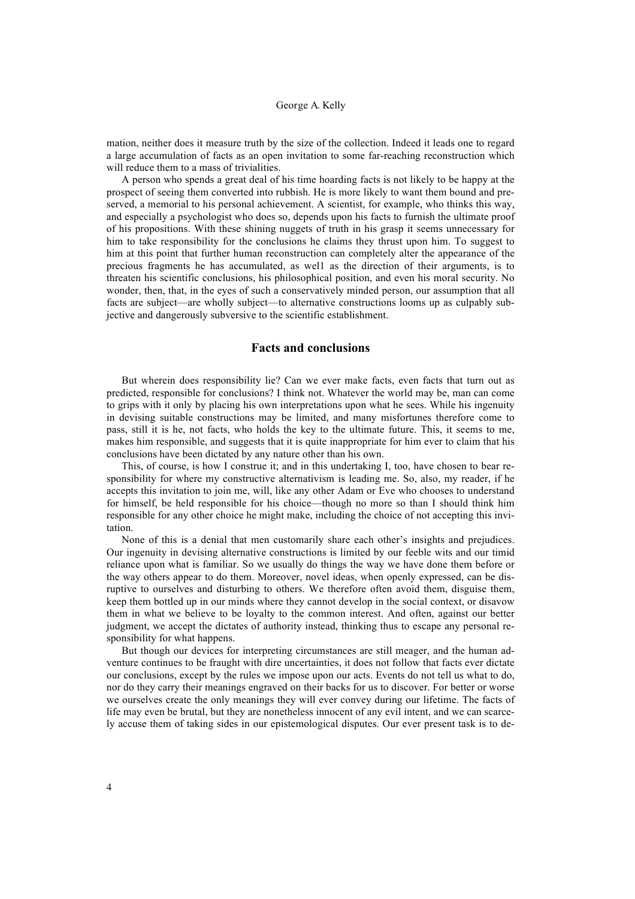mation, neither does it measure truth by the size of the collection. Indeed it leads one to regard a large accumulation of facts as an open invitation to some far-reaching reconstruction which will reduce them to a mass of trivialities.

A person who spends a great deal of his time hoarding facts is not likely to be happy at the prospect of seeing them converted into rubbish. He is more likely to want them bound and preserved, a memorial to his personal achievement. A scientist, for example, who thinks this way, and especially a psychologist who does so, depends upon his facts to furnish the ultimate proof of his propositions. With these shining nuggets of truth in his grasp it seems unnecessary for him to take responsibility for the conclusions he claims they thrust upon him. To suggest to him at this point that further human reconstruction can completely alter the appearance of the precious fragments he has accumulated, as wel1 as the direction of their arguments, is to threaten his scientific conclusions, his philosophical position, and even his moral security. No wonder, then, that, in the eyes of such a conservatively minded person, our assumption that all facts are subject—are wholly subject—to alternative constructions looms up as culpably subjective and dangerously subversive to the scientific establishment.

# **Facts and conclusions**

But wherein does responsibility lie? Can we ever make facts, even facts that turn out as predicted, responsible for conclusions? I think not. Whatever the world may be, man can come to grips with it only by placing his own interpretations upon what he sees. While his ingenuity in devising suitable constructions may be limited, and many misfortunes therefore come to pass, still it is he, not facts, who holds the key to the ultimate future. This, it seems to me, makes him responsible, and suggests that it is quite inappropriate for him ever to claim that his conclusions have been dictated by any nature other than his own.

This, of course, is how I construe it; and in this undertaking I, too, have chosen to bear responsibility for where my constructive alternativism is leading me. So, also, my reader, if he accepts this invitation to join me, will, like any other Adam or Eve who chooses to understand for himself, be held responsible for his choice—though no more so than I should think him responsible for any other choice he might make, including the choice of not accepting this invitation.

None of this is a denial that men customarily share each other's insights and prejudices. Our ingenuity in devising alternative constructions is limited by our feeble wits and our timid reliance upon what is familiar. So we usually do things the way we have done them before or the way others appear to do them. Moreover, novel ideas, when openly expressed, can be disruptive to ourselves and disturbing to others. We therefore often avoid them, disguise them, keep them bottled up in our minds where they cannot develop in the social context, or disavow them in what we believe to be loyalty to the common interest. And often, against our better judgment, we accept the dictates of authority instead, thinking thus to escape any personal responsibility for what happens.

But though our devices for interpreting circumstances are still meager, and the human adventure continues to be fraught with dire uncertainties, it does not follow that facts ever dictate our conclusions, except by the rules we impose upon our acts. Events do not tell us what to do, nor do they carry their meanings engraved on their backs for us to discover. For better or worse we ourselves create the only meanings they will ever convey during our lifetime. The facts of life may even be brutal, but they are nonetheless innocent of any evil intent, and we can scarcely accuse them of taking sides in our epistemological disputes. Our ever present task is to de-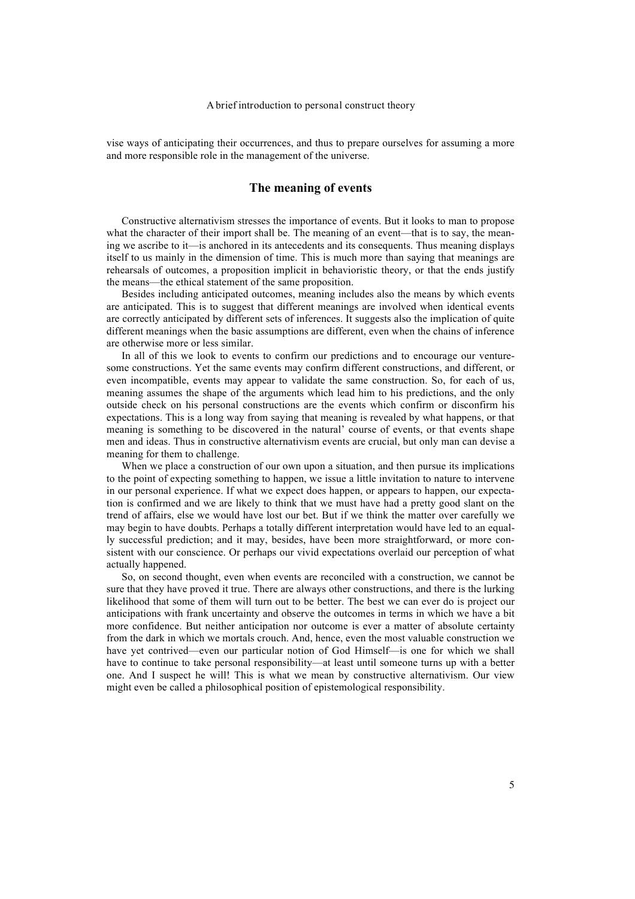vise ways of anticipating their occurrences, and thus to prepare ourselves for assuming a more and more responsible role in the management of the universe.

# **The meaning of events**

Constructive alternativism stresses the importance of events. But it looks to man to propose what the character of their import shall be. The meaning of an event—that is to say, the meaning we ascribe to it—is anchored in its antecedents and its consequents. Thus meaning displays itself to us mainly in the dimension of time. This is much more than saying that meanings are rehearsals of outcomes, a proposition implicit in behavioristic theory, or that the ends justify the means—the ethical statement of the same proposition.

Besides including anticipated outcomes, meaning includes also the means by which events are anticipated. This is to suggest that different meanings are involved when identical events are correctly anticipated by different sets of inferences. It suggests also the implication of quite different meanings when the basic assumptions are different, even when the chains of inference are otherwise more or less similar.

In all of this we look to events to confirm our predictions and to encourage our venturesome constructions. Yet the same events may confirm different constructions, and different, or even incompatible, events may appear to validate the same construction. So, for each of us, meaning assumes the shape of the arguments which lead him to his predictions, and the only outside check on his personal constructions are the events which confirm or disconfirm his expectations. This is a long way from saying that meaning is revealed by what happens, or that meaning is something to be discovered in the natural' course of events, or that events shape men and ideas. Thus in constructive alternativism events are crucial, but only man can devise a meaning for them to challenge.

When we place a construction of our own upon a situation, and then pursue its implications to the point of expecting something to happen, we issue a little invitation to nature to intervene in our personal experience. If what we expect does happen, or appears to happen, our expectation is confirmed and we are likely to think that we must have had a pretty good slant on the trend of affairs, else we would have lost our bet. But if we think the matter over carefully we may begin to have doubts. Perhaps a totally different interpretation would have led to an equally successful prediction; and it may, besides, have been more straightforward, or more consistent with our conscience. Or perhaps our vivid expectations overlaid our perception of what actually happened.

So, on second thought, even when events are reconciled with a construction, we cannot be sure that they have proved it true. There are always other constructions, and there is the lurking likelihood that some of them will turn out to be better. The best we can ever do is project our anticipations with frank uncertainty and observe the outcomes in terms in which we have a bit more confidence. But neither anticipation nor outcome is ever a matter of absolute certainty from the dark in which we mortals crouch. And, hence, even the most valuable construction we have yet contrived—even our particular notion of God Himself—is one for which we shall have to continue to take personal responsibility—at least until someone turns up with a better one. And I suspect he will! This is what we mean by constructive alternativism. Our view might even be called a philosophical position of epistemological responsibility.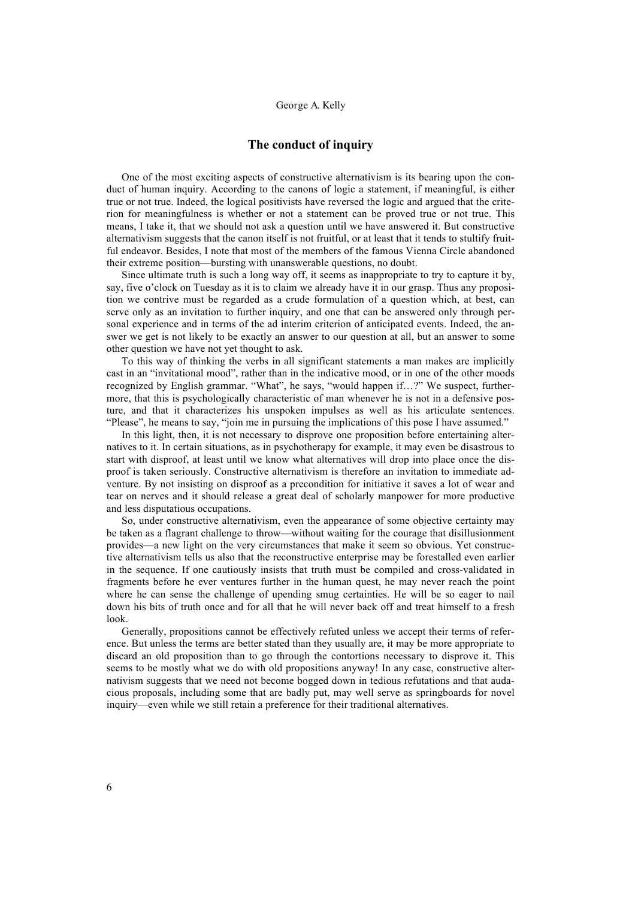# **The conduct of inquiry**

One of the most exciting aspects of constructive alternativism is its bearing upon the conduct of human inquiry. According to the canons of logic a statement, if meaningful, is either true or not true. Indeed, the logical positivists have reversed the logic and argued that the criterion for meaningfulness is whether or not a statement can be proved true or not true. This means, I take it, that we should not ask a question until we have answered it. But constructive alternativism suggests that the canon itself is not fruitful, or at least that it tends to stultify fruitful endeavor. Besides, I note that most of the members of the famous Vienna Circle abandoned their extreme position—bursting with unanswerable questions, no doubt.

Since ultimate truth is such a long way off, it seems as inappropriate to try to capture it by, say, five o'clock on Tuesday as it is to claim we already have it in our grasp. Thus any proposition we contrive must be regarded as a crude formulation of a question which, at best, can serve only as an invitation to further inquiry, and one that can be answered only through personal experience and in terms of the ad interim criterion of anticipated events. Indeed, the answer we get is not likely to be exactly an answer to our question at all, but an answer to some other question we have not yet thought to ask.

To this way of thinking the verbs in all significant statements a man makes are implicitly cast in an "invitational mood", rather than in the indicative mood, or in one of the other moods recognized by English grammar. "What", he says, "would happen if…?" We suspect, furthermore, that this is psychologically characteristic of man whenever he is not in a defensive posture, and that it characterizes his unspoken impulses as well as his articulate sentences. "Please", he means to say, "join me in pursuing the implications of this pose I have assumed."

In this light, then, it is not necessary to disprove one proposition before entertaining alternatives to it. In certain situations, as in psychotherapy for example, it may even be disastrous to start with disproof, at least until we know what alternatives will drop into place once the disproof is taken seriously. Constructive alternativism is therefore an invitation to immediate adventure. By not insisting on disproof as a precondition for initiative it saves a lot of wear and tear on nerves and it should release a great deal of scholarly manpower for more productive and less disputatious occupations.

So, under constructive alternativism, even the appearance of some objective certainty may be taken as a flagrant challenge to throw—without waiting for the courage that disillusionment provides—a new light on the very circumstances that make it seem so obvious. Yet constructive alternativism tells us also that the reconstructive enterprise may be forestalled even earlier in the sequence. If one cautiously insists that truth must be compiled and cross-validated in fragments before he ever ventures further in the human quest, he may never reach the point where he can sense the challenge of upending smug certainties. He will be so eager to nail down his bits of truth once and for all that he will never back off and treat himself to a fresh look.

Generally, propositions cannot be effectively refuted unless we accept their terms of reference. But unless the terms are better stated than they usually are, it may be more appropriate to discard an old proposition than to go through the contortions necessary to disprove it. This seems to be mostly what we do with old propositions anyway! In any case, constructive alternativism suggests that we need not become bogged down in tedious refutations and that audacious proposals, including some that are badly put, may well serve as springboards for novel inquiry—even while we still retain a preference for their traditional alternatives.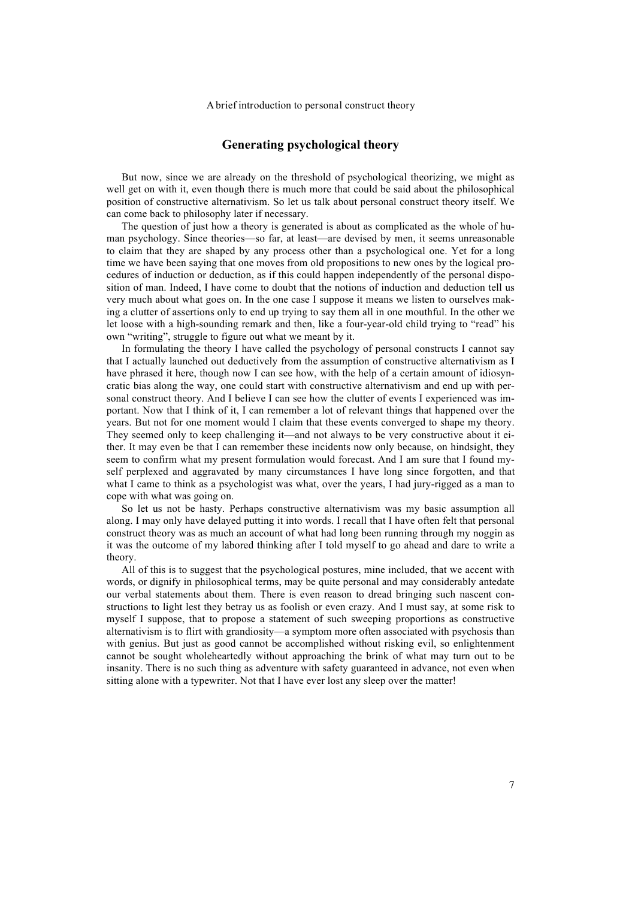# **Generating psychological theory**

But now, since we are already on the threshold of psychological theorizing, we might as well get on with it, even though there is much more that could be said about the philosophical position of constructive alternativism. So let us talk about personal construct theory itself. We can come back to philosophy later if necessary.

The question of just how a theory is generated is about as complicated as the whole of human psychology. Since theories—so far, at least—are devised by men, it seems unreasonable to claim that they are shaped by any process other than a psychological one. Yet for a long time we have been saying that one moves from old propositions to new ones by the logical procedures of induction or deduction, as if this could happen independently of the personal disposition of man. Indeed, I have come to doubt that the notions of induction and deduction tell us very much about what goes on. In the one case I suppose it means we listen to ourselves making a clutter of assertions only to end up trying to say them all in one mouthful. In the other we let loose with a high-sounding remark and then, like a four-year-old child trying to "read" his own "writing", struggle to figure out what we meant by it.

In formulating the theory I have called the psychology of personal constructs I cannot say that I actually launched out deductively from the assumption of constructive alternativism as I have phrased it here, though now I can see how, with the help of a certain amount of idiosyncratic bias along the way, one could start with constructive alternativism and end up with personal construct theory. And I believe I can see how the clutter of events I experienced was important. Now that I think of it, I can remember a lot of relevant things that happened over the years. But not for one moment would I claim that these events converged to shape my theory. They seemed only to keep challenging it—and not always to be very constructive about it either. It may even be that I can remember these incidents now only because, on hindsight, they seem to confirm what my present formulation would forecast. And I am sure that I found myself perplexed and aggravated by many circumstances I have long since forgotten, and that what I came to think as a psychologist was what, over the years, I had jury-rigged as a man to cope with what was going on.

So let us not be hasty. Perhaps constructive alternativism was my basic assumption all along. I may only have delayed putting it into words. I recall that I have often felt that personal construct theory was as much an account of what had long been running through my noggin as it was the outcome of my labored thinking after I told myself to go ahead and dare to write a theory.

All of this is to suggest that the psychological postures, mine included, that we accent with words, or dignify in philosophical terms, may be quite personal and may considerably antedate our verbal statements about them. There is even reason to dread bringing such nascent constructions to light lest they betray us as foolish or even crazy. And I must say, at some risk to myself I suppose, that to propose a statement of such sweeping proportions as constructive alternativism is to flirt with grandiosity—a symptom more often associated with psychosis than with genius. But just as good cannot be accomplished without risking evil, so enlightenment cannot be sought wholeheartedly without approaching the brink of what may turn out to be insanity. There is no such thing as adventure with safety guaranteed in advance, not even when sitting alone with a typewriter. Not that I have ever lost any sleep over the matter!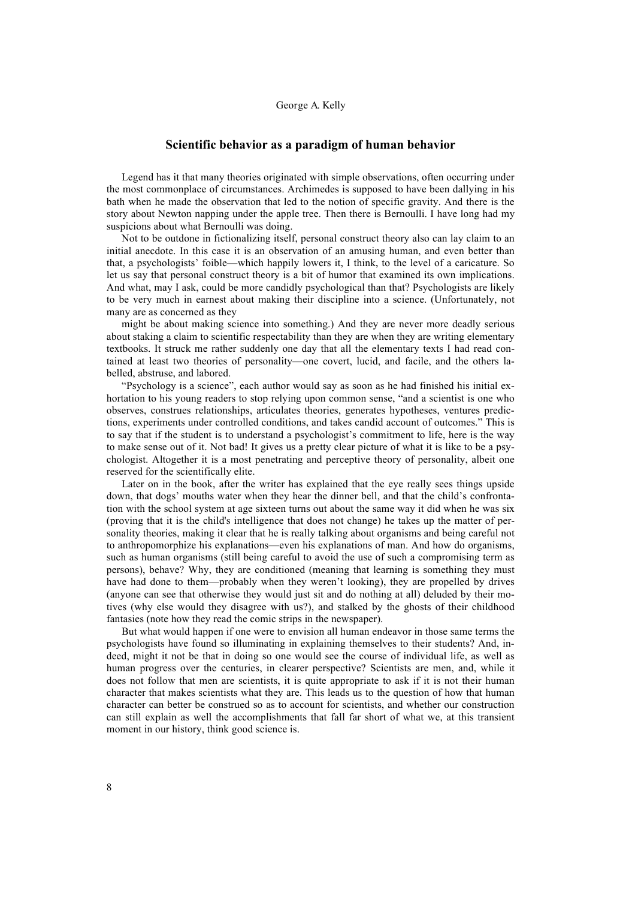### **Scientific behavior as a paradigm of human behavior**

Legend has it that many theories originated with simple observations, often occurring under the most commonplace of circumstances. Archimedes is supposed to have been dallying in his bath when he made the observation that led to the notion of specific gravity. And there is the story about Newton napping under the apple tree. Then there is Bernoulli. I have long had my suspicions about what Bernoulli was doing.

Not to be outdone in fictionalizing itself, personal construct theory also can lay claim to an initial anecdote. In this case it is an observation of an amusing human, and even better than that, a psychologists' foible—which happily lowers it, I think, to the level of a caricature. So let us say that personal construct theory is a bit of humor that examined its own implications. And what, may I ask, could be more candidly psychological than that? Psychologists are likely to be very much in earnest about making their discipline into a science. (Unfortunately, not many are as concerned as they

might be about making science into something.) And they are never more deadly serious about staking a claim to scientific respectability than they are when they are writing elementary textbooks. It struck me rather suddenly one day that all the elementary texts I had read contained at least two theories of personality—one covert, lucid, and facile, and the others labelled, abstruse, and labored.

"Psychology is a science", each author would say as soon as he had finished his initial exhortation to his young readers to stop relying upon common sense, "and a scientist is one who observes, construes relationships, articulates theories, generates hypotheses, ventures predictions, experiments under controlled conditions, and takes candid account of outcomes." This is to say that if the student is to understand a psychologist's commitment to life, here is the way to make sense out of it. Not bad! It gives us a pretty clear picture of what it is like to be a psychologist. Altogether it is a most penetrating and perceptive theory of personality, albeit one reserved for the scientifically elite.

Later on in the book, after the writer has explained that the eye really sees things upside down, that dogs' mouths water when they hear the dinner bell, and that the child's confrontation with the school system at age sixteen turns out about the same way it did when he was six (proving that it is the child's intelligence that does not change) he takes up the matter of personality theories, making it clear that he is really talking about organisms and being careful not to anthropomorphize his explanations—even his explanations of man. And how do organisms, such as human organisms (still being careful to avoid the use of such a compromising term as persons), behave? Why, they are conditioned (meaning that learning is something they must have had done to them—probably when they weren't looking), they are propelled by drives (anyone can see that otherwise they would just sit and do nothing at all) deluded by their motives (why else would they disagree with us?), and stalked by the ghosts of their childhood fantasies (note how they read the comic strips in the newspaper).

But what would happen if one were to envision all human endeavor in those same terms the psychologists have found so illuminating in explaining themselves to their students? And, indeed, might it not be that in doing so one would see the course of individual life, as well as human progress over the centuries, in clearer perspective? Scientists are men, and, while it does not follow that men are scientists, it is quite appropriate to ask if it is not their human character that makes scientists what they are. This leads us to the question of how that human character can better be construed so as to account for scientists, and whether our construction can still explain as well the accomplishments that fall far short of what we, at this transient moment in our history, think good science is.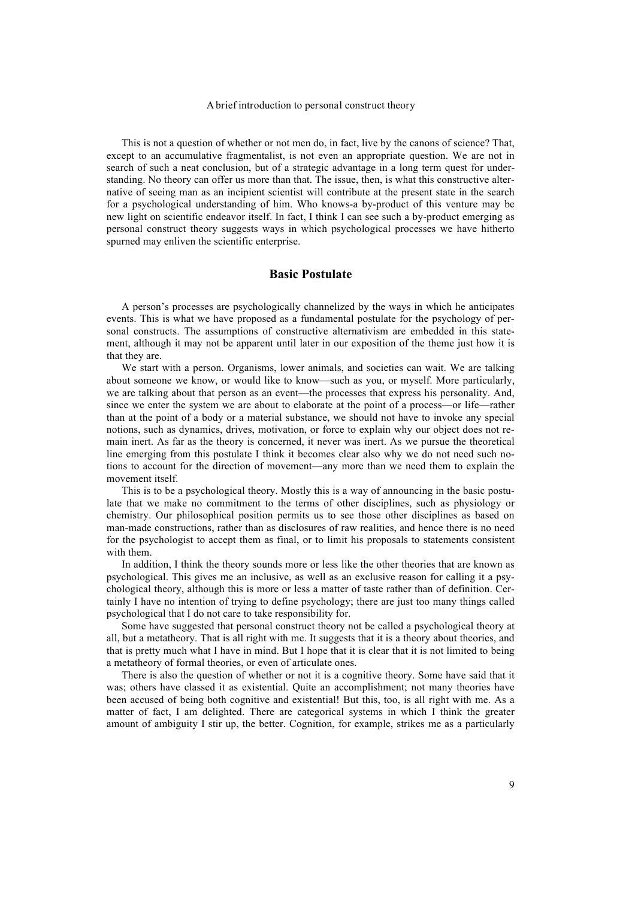This is not a question of whether or not men do, in fact, live by the canons of science? That, except to an accumulative fragmentalist, is not even an appropriate question. We are not in search of such a neat conclusion, but of a strategic advantage in a long term quest for understanding. No theory can offer us more than that. The issue, then, is what this constructive alternative of seeing man as an incipient scientist will contribute at the present state in the search for a psychological understanding of him. Who knows-a by-product of this venture may be new light on scientific endeavor itself. In fact, I think I can see such a by-product emerging as personal construct theory suggests ways in which psychological processes we have hitherto spurned may enliven the scientific enterprise.

# **Basic Postulate**

A person's processes are psychologically channelized by the ways in which he anticipates events. This is what we have proposed as a fundamental postulate for the psychology of personal constructs. The assumptions of constructive alternativism are embedded in this statement, although it may not be apparent until later in our exposition of the theme just how it is that they are.

We start with a person. Organisms, lower animals, and societies can wait. We are talking about someone we know, or would like to know—such as you, or myself. More particularly, we are talking about that person as an event—the processes that express his personality. And, since we enter the system we are about to elaborate at the point of a process—or life—rather than at the point of a body or a material substance, we should not have to invoke any special notions, such as dynamics, drives, motivation, or force to explain why our object does not remain inert. As far as the theory is concerned, it never was inert. As we pursue the theoretical line emerging from this postulate I think it becomes clear also why we do not need such notions to account for the direction of movement—any more than we need them to explain the movement itself.

This is to be a psychological theory. Mostly this is a way of announcing in the basic postulate that we make no commitment to the terms of other disciplines, such as physiology or chemistry. Our philosophical position permits us to see those other disciplines as based on man-made constructions, rather than as disclosures of raw realities, and hence there is no need for the psychologist to accept them as final, or to limit his proposals to statements consistent with them.

In addition, I think the theory sounds more or less like the other theories that are known as psychological. This gives me an inclusive, as well as an exclusive reason for calling it a psychological theory, although this is more or less a matter of taste rather than of definition. Certainly I have no intention of trying to define psychology; there are just too many things called psychological that I do not care to take responsibility for.

Some have suggested that personal construct theory not be called a psychological theory at all, but a metatheory. That is all right with me. It suggests that it is a theory about theories, and that is pretty much what I have in mind. But I hope that it is clear that it is not limited to being a metatheory of formal theories, or even of articulate ones.

There is also the question of whether or not it is a cognitive theory. Some have said that it was; others have classed it as existential. Quite an accomplishment; not many theories have been accused of being both cognitive and existential! But this, too, is all right with me. As a matter of fact, I am delighted. There are categorical systems in which I think the greater amount of ambiguity I stir up, the better. Cognition, for example, strikes me as a particularly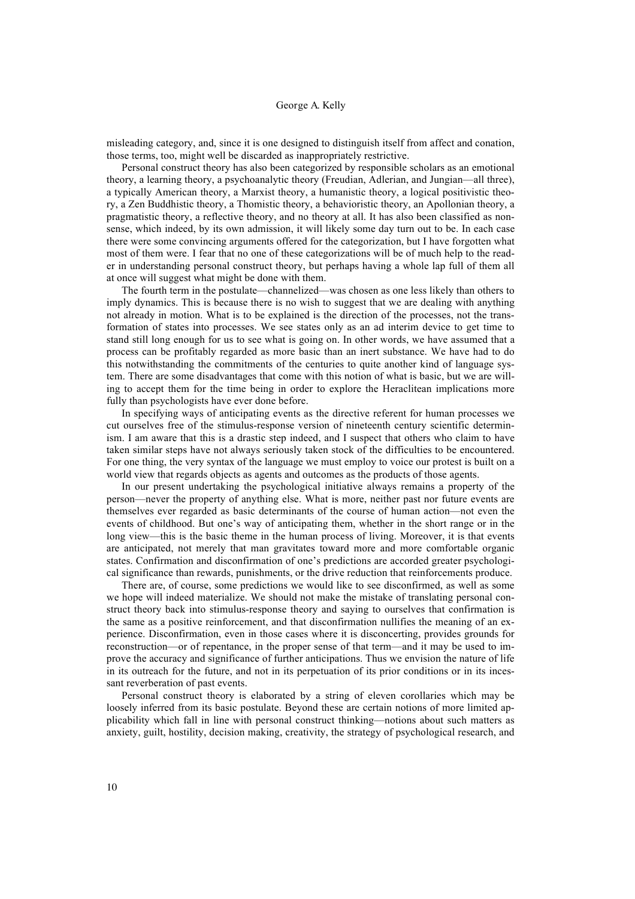misleading category, and, since it is one designed to distinguish itself from affect and conation, those terms, too, might well be discarded as inappropriately restrictive.

Personal construct theory has also been categorized by responsible scholars as an emotional theory, a learning theory, a psychoanalytic theory (Freudian, Adlerian, and Jungian—all three), a typically American theory, a Marxist theory, a humanistic theory, a logical positivistic theory, a Zen Buddhistic theory, a Thomistic theory, a behavioristic theory, an Apollonian theory, a pragmatistic theory, a reflective theory, and no theory at all. It has also been classified as nonsense, which indeed, by its own admission, it will likely some day turn out to be. In each case there were some convincing arguments offered for the categorization, but I have forgotten what most of them were. I fear that no one of these categorizations will be of much help to the reader in understanding personal construct theory, but perhaps having a whole lap full of them all at once will suggest what might be done with them.

The fourth term in the postulate—channelized—was chosen as one less likely than others to imply dynamics. This is because there is no wish to suggest that we are dealing with anything not already in motion. What is to be explained is the direction of the processes, not the transformation of states into processes. We see states only as an ad interim device to get time to stand still long enough for us to see what is going on. In other words, we have assumed that a process can be profitably regarded as more basic than an inert substance. We have had to do this notwithstanding the commitments of the centuries to quite another kind of language system. There are some disadvantages that come with this notion of what is basic, but we are willing to accept them for the time being in order to explore the Heraclitean implications more fully than psychologists have ever done before.

In specifying ways of anticipating events as the directive referent for human processes we cut ourselves free of the stimulus-response version of nineteenth century scientific determinism. I am aware that this is a drastic step indeed, and I suspect that others who claim to have taken similar steps have not always seriously taken stock of the difficulties to be encountered. For one thing, the very syntax of the language we must employ to voice our protest is built on a world view that regards objects as agents and outcomes as the products of those agents.

In our present undertaking the psychological initiative always remains a property of the person—never the property of anything else. What is more, neither past nor future events are themselves ever regarded as basic determinants of the course of human action—not even the events of childhood. But one's way of anticipating them, whether in the short range or in the long view—this is the basic theme in the human process of living. Moreover, it is that events are anticipated, not merely that man gravitates toward more and more comfortable organic states. Confirmation and disconfirmation of one's predictions are accorded greater psychological significance than rewards, punishments, or the drive reduction that reinforcements produce.

There are, of course, some predictions we would like to see disconfirmed, as well as some we hope will indeed materialize. We should not make the mistake of translating personal construct theory back into stimulus-response theory and saying to ourselves that confirmation is the same as a positive reinforcement, and that disconfirmation nullifies the meaning of an experience. Disconfirmation, even in those cases where it is disconcerting, provides grounds for reconstruction—or of repentance, in the proper sense of that term—and it may be used to improve the accuracy and significance of further anticipations. Thus we envision the nature of life in its outreach for the future, and not in its perpetuation of its prior conditions or in its incessant reverberation of past events.

Personal construct theory is elaborated by a string of eleven corollaries which may be loosely inferred from its basic postulate. Beyond these are certain notions of more limited applicability which fall in line with personal construct thinking—notions about such matters as anxiety, guilt, hostility, decision making, creativity, the strategy of psychological research, and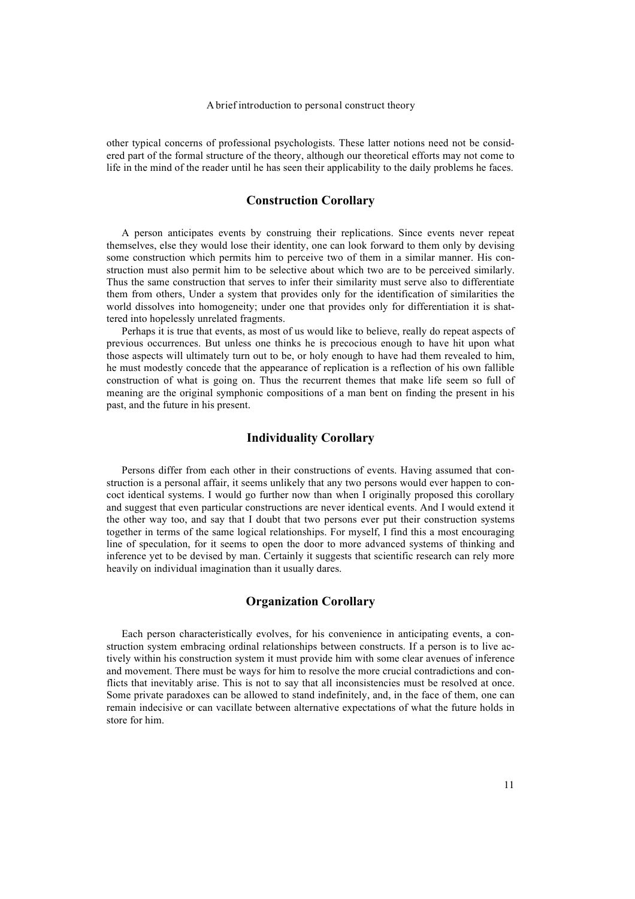other typical concerns of professional psychologists. These latter notions need not be considered part of the formal structure of the theory, although our theoretical efforts may not come to life in the mind of the reader until he has seen their applicability to the daily problems he faces.

# **Construction Corollary**

A person anticipates events by construing their replications. Since events never repeat themselves, else they would lose their identity, one can look forward to them only by devising some construction which permits him to perceive two of them in a similar manner. His construction must also permit him to be selective about which two are to be perceived similarly. Thus the same construction that serves to infer their similarity must serve also to differentiate them from others, Under a system that provides only for the identification of similarities the world dissolves into homogeneity; under one that provides only for differentiation it is shattered into hopelessly unrelated fragments.

Perhaps it is true that events, as most of us would like to believe, really do repeat aspects of previous occurrences. But unless one thinks he is precocious enough to have hit upon what those aspects will ultimately turn out to be, or holy enough to have had them revealed to him, he must modestly concede that the appearance of replication is a reflection of his own fallible construction of what is going on. Thus the recurrent themes that make life seem so full of meaning are the original symphonic compositions of a man bent on finding the present in his past, and the future in his present.

# **Individuality Corollary**

Persons differ from each other in their constructions of events. Having assumed that construction is a personal affair, it seems unlikely that any two persons would ever happen to concoct identical systems. I would go further now than when I originally proposed this corollary and suggest that even particular constructions are never identical events. And I would extend it the other way too, and say that I doubt that two persons ever put their construction systems together in terms of the same logical relationships. For myself, I find this a most encouraging line of speculation, for it seems to open the door to more advanced systems of thinking and inference yet to be devised by man. Certainly it suggests that scientific research can rely more heavily on individual imagination than it usually dares.

# **Organization Corollary**

Each person characteristically evolves, for his convenience in anticipating events, a construction system embracing ordinal relationships between constructs. If a person is to live actively within his construction system it must provide him with some clear avenues of inference and movement. There must be ways for him to resolve the more crucial contradictions and conflicts that inevitably arise. This is not to say that all inconsistencies must be resolved at once. Some private paradoxes can be allowed to stand indefinitely, and, in the face of them, one can remain indecisive or can vacillate between alternative expectations of what the future holds in store for him.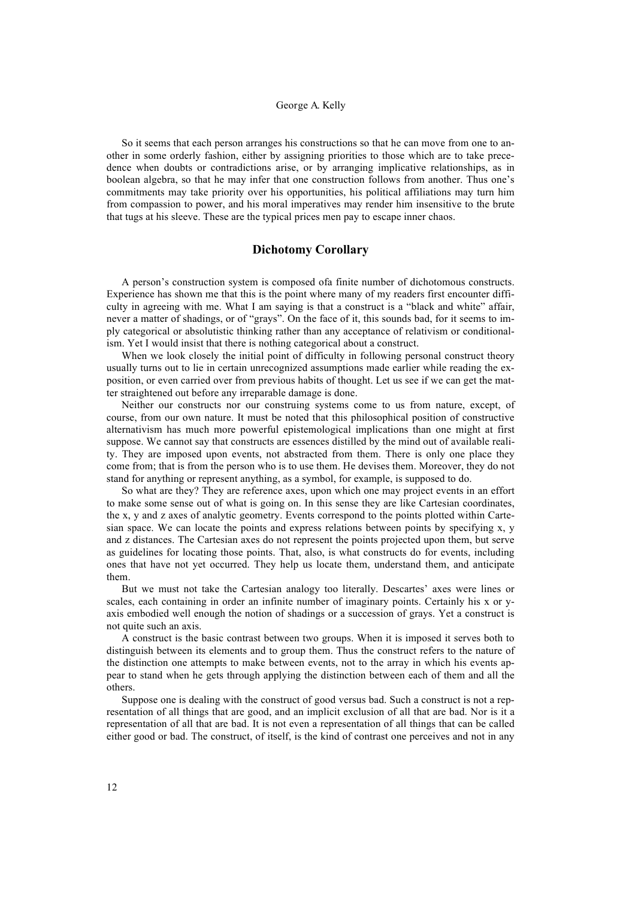So it seems that each person arranges his constructions so that he can move from one to another in some orderly fashion, either by assigning priorities to those which are to take precedence when doubts or contradictions arise, or by arranging implicative relationships, as in boolean algebra, so that he may infer that one construction follows from another. Thus one's commitments may take priority over his opportunities, his political affiliations may turn him from compassion to power, and his moral imperatives may render him insensitive to the brute that tugs at his sleeve. These are the typical prices men pay to escape inner chaos.

# **Dichotomy Corollary**

A person's construction system is composed ofa finite number of dichotomous constructs. Experience has shown me that this is the point where many of my readers first encounter difficulty in agreeing with me. What I am saying is that a construct is a "black and white" affair, never a matter of shadings, or of "grays". On the face of it, this sounds bad, for it seems to imply categorical or absolutistic thinking rather than any acceptance of relativism or conditionalism. Yet I would insist that there is nothing categorical about a construct.

When we look closely the initial point of difficulty in following personal construct theory usually turns out to lie in certain unrecognized assumptions made earlier while reading the exposition, or even carried over from previous habits of thought. Let us see if we can get the matter straightened out before any irreparable damage is done.

Neither our constructs nor our construing systems come to us from nature, except, of course, from our own nature. It must be noted that this philosophical position of constructive alternativism has much more powerful epistemological implications than one might at first suppose. We cannot say that constructs are essences distilled by the mind out of available reality. They are imposed upon events, not abstracted from them. There is only one place they come from; that is from the person who is to use them. He devises them. Moreover, they do not stand for anything or represent anything, as a symbol, for example, is supposed to do.

So what are they? They are reference axes, upon which one may project events in an effort to make some sense out of what is going on. In this sense they are like Cartesian coordinates, the x, y and z axes of analytic geometry. Events correspond to the points plotted within Cartesian space. We can locate the points and express relations between points by specifying x,  $y$ and z distances. The Cartesian axes do not represent the points projected upon them, but serve as guidelines for locating those points. That, also, is what constructs do for events, including ones that have not yet occurred. They help us locate them, understand them, and anticipate them.

But we must not take the Cartesian analogy too literally. Descartes' axes were lines or scales, each containing in order an infinite number of imaginary points. Certainly his x or yaxis embodied well enough the notion of shadings or a succession of grays. Yet a construct is not quite such an axis.

A construct is the basic contrast between two groups. When it is imposed it serves both to distinguish between its elements and to group them. Thus the construct refers to the nature of the distinction one attempts to make between events, not to the array in which his events appear to stand when he gets through applying the distinction between each of them and all the others.

Suppose one is dealing with the construct of good versus bad. Such a construct is not a representation of all things that are good, and an implicit exclusion of all that are bad. Nor is it a representation of all that are bad. It is not even a representation of all things that can be called either good or bad. The construct, of itself, is the kind of contrast one perceives and not in any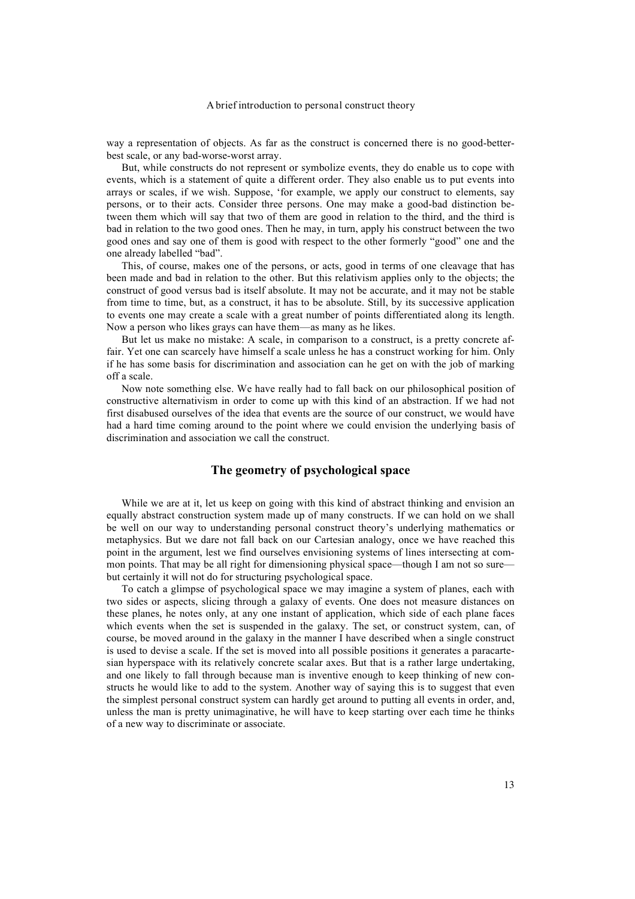way a representation of objects. As far as the construct is concerned there is no good-betterbest scale, or any bad-worse-worst array.

But, while constructs do not represent or symbolize events, they do enable us to cope with events, which is a statement of quite a different order. They also enable us to put events into arrays or scales, if we wish. Suppose, 'for example, we apply our construct to elements, say persons, or to their acts. Consider three persons. One may make a good-bad distinction between them which will say that two of them are good in relation to the third, and the third is bad in relation to the two good ones. Then he may, in turn, apply his construct between the two good ones and say one of them is good with respect to the other formerly "good" one and the one already labelled "bad".

This, of course, makes one of the persons, or acts, good in terms of one cleavage that has been made and bad in relation to the other. But this relativism applies only to the objects; the construct of good versus bad is itself absolute. It may not be accurate, and it may not be stable from time to time, but, as a construct, it has to be absolute. Still, by its successive application to events one may create a scale with a great number of points differentiated along its length. Now a person who likes grays can have them—as many as he likes.

But let us make no mistake: A scale, in comparison to a construct, is a pretty concrete affair. Yet one can scarcely have himself a scale unless he has a construct working for him. Only if he has some basis for discrimination and association can he get on with the job of marking off a scale.

Now note something else. We have really had to fall back on our philosophical position of constructive alternativism in order to come up with this kind of an abstraction. If we had not first disabused ourselves of the idea that events are the source of our construct, we would have had a hard time coming around to the point where we could envision the underlying basis of discrimination and association we call the construct.

# **The geometry of psychological space**

While we are at it, let us keep on going with this kind of abstract thinking and envision an equally abstract construction system made up of many constructs. If we can hold on we shall be well on our way to understanding personal construct theory's underlying mathematics or metaphysics. But we dare not fall back on our Cartesian analogy, once we have reached this point in the argument, lest we find ourselves envisioning systems of lines intersecting at common points. That may be all right for dimensioning physical space—though I am not so sure but certainly it will not do for structuring psychological space.

To catch a glimpse of psychological space we may imagine a system of planes, each with two sides or aspects, slicing through a galaxy of events. One does not measure distances on these planes, he notes only, at any one instant of application, which side of each plane faces which events when the set is suspended in the galaxy. The set, or construct system, can, of course, be moved around in the galaxy in the manner I have described when a single construct is used to devise a scale. If the set is moved into all possible positions it generates a paracartesian hyperspace with its relatively concrete scalar axes. But that is a rather large undertaking, and one likely to fall through because man is inventive enough to keep thinking of new constructs he would like to add to the system. Another way of saying this is to suggest that even the simplest personal construct system can hardly get around to putting all events in order, and, unless the man is pretty unimaginative, he will have to keep starting over each time he thinks of a new way to discriminate or associate.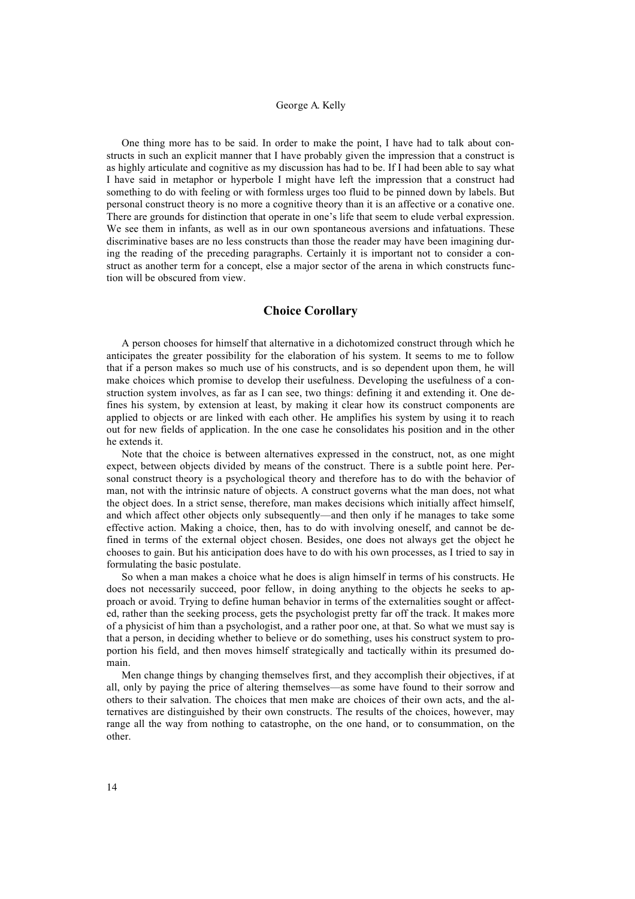One thing more has to be said. In order to make the point, I have had to talk about constructs in such an explicit manner that I have probably given the impression that a construct is as highly articulate and cognitive as my discussion has had to be. If I had been able to say what I have said in metaphor or hyperbole I might have left the impression that a construct had something to do with feeling or with formless urges too fluid to be pinned down by labels. But personal construct theory is no more a cognitive theory than it is an affective or a conative one. There are grounds for distinction that operate in one's life that seem to elude verbal expression. We see them in infants, as well as in our own spontaneous aversions and infatuations. These discriminative bases are no less constructs than those the reader may have been imagining during the reading of the preceding paragraphs. Certainly it is important not to consider a construct as another term for a concept, else a major sector of the arena in which constructs function will be obscured from view.

# **Choice Corollary**

A person chooses for himself that alternative in a dichotomized construct through which he anticipates the greater possibility for the elaboration of his system. It seems to me to follow that if a person makes so much use of his constructs, and is so dependent upon them, he will make choices which promise to develop their usefulness. Developing the usefulness of a construction system involves, as far as I can see, two things: defining it and extending it. One defines his system, by extension at least, by making it clear how its construct components are applied to objects or are linked with each other. He amplifies his system by using it to reach out for new fields of application. In the one case he consolidates his position and in the other he extends it.

Note that the choice is between alternatives expressed in the construct, not, as one might expect, between objects divided by means of the construct. There is a subtle point here. Personal construct theory is a psychological theory and therefore has to do with the behavior of man, not with the intrinsic nature of objects. A construct governs what the man does, not what the object does. In a strict sense, therefore, man makes decisions which initially affect himself, and which affect other objects only subsequently—and then only if he manages to take some effective action. Making a choice, then, has to do with involving oneself, and cannot be defined in terms of the external object chosen. Besides, one does not always get the object he chooses to gain. But his anticipation does have to do with his own processes, as I tried to say in formulating the basic postulate.

So when a man makes a choice what he does is align himself in terms of his constructs. He does not necessarily succeed, poor fellow, in doing anything to the objects he seeks to approach or avoid. Trying to define human behavior in terms of the externalities sought or affected, rather than the seeking process, gets the psychologist pretty far off the track. It makes more of a physicist of him than a psychologist, and a rather poor one, at that. So what we must say is that a person, in deciding whether to believe or do something, uses his construct system to proportion his field, and then moves himself strategically and tactically within its presumed domain.

Men change things by changing themselves first, and they accomplish their objectives, if at all, only by paying the price of altering themselves—as some have found to their sorrow and others to their salvation. The choices that men make are choices of their own acts, and the alternatives are distinguished by their own constructs. The results of the choices, however, may range all the way from nothing to catastrophe, on the one hand, or to consummation, on the other.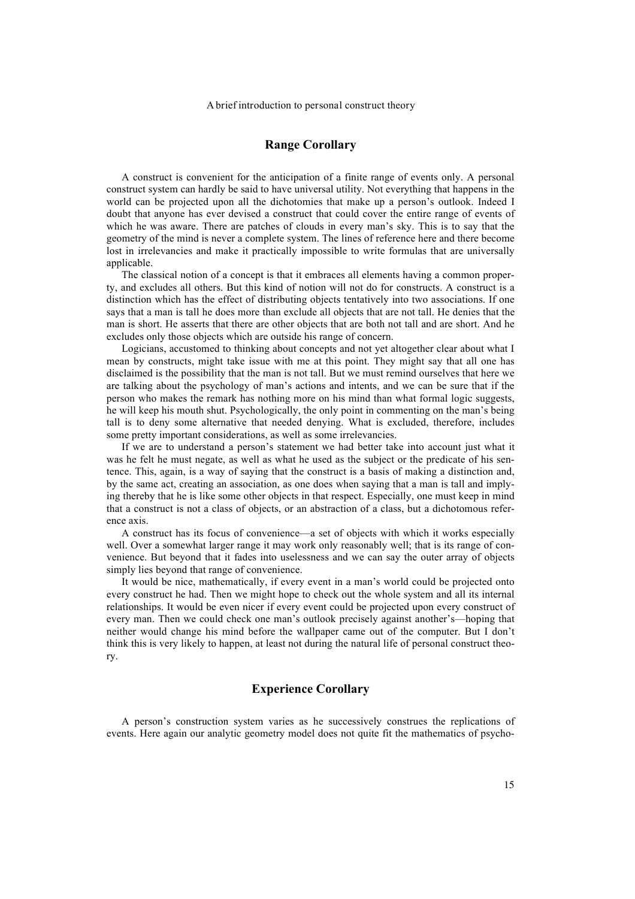# **Range Corollary**

A construct is convenient for the anticipation of a finite range of events only. A personal construct system can hardly be said to have universal utility. Not everything that happens in the world can be projected upon all the dichotomies that make up a person's outlook. Indeed I doubt that anyone has ever devised a construct that could cover the entire range of events of which he was aware. There are patches of clouds in every man's sky. This is to say that the geometry of the mind is never a complete system. The lines of reference here and there become lost in irrelevancies and make it practically impossible to write formulas that are universally applicable.

The classical notion of a concept is that it embraces all elements having a common property, and excludes all others. But this kind of notion will not do for constructs. A construct is a distinction which has the effect of distributing objects tentatively into two associations. If one says that a man is tall he does more than exclude all objects that are not tall. He denies that the man is short. He asserts that there are other objects that are both not tall and are short. And he excludes only those objects which are outside his range of concern.

Logicians, accustomed to thinking about concepts and not yet altogether clear about what I mean by constructs, might take issue with me at this point. They might say that all one has disclaimed is the possibility that the man is not tall. But we must remind ourselves that here we are talking about the psychology of man's actions and intents, and we can be sure that if the person who makes the remark has nothing more on his mind than what formal logic suggests, he will keep his mouth shut. Psychologically, the only point in commenting on the man's being tall is to deny some alternative that needed denying. What is excluded, therefore, includes some pretty important considerations, as well as some irrelevancies.

If we are to understand a person's statement we had better take into account just what it was he felt he must negate, as well as what he used as the subject or the predicate of his sentence. This, again, is a way of saying that the construct is a basis of making a distinction and, by the same act, creating an association, as one does when saying that a man is tall and implying thereby that he is like some other objects in that respect. Especially, one must keep in mind that a construct is not a class of objects, or an abstraction of a class, but a dichotomous reference axis.

A construct has its focus of convenience—a set of objects with which it works especially well. Over a somewhat larger range it may work only reasonably well; that is its range of convenience. But beyond that it fades into uselessness and we can say the outer array of objects simply lies beyond that range of convenience.

It would be nice, mathematically, if every event in a man's world could be projected onto every construct he had. Then we might hope to check out the whole system and all its internal relationships. It would be even nicer if every event could be projected upon every construct of every man. Then we could check one man's outlook precisely against another's—hoping that neither would change his mind before the wallpaper came out of the computer. But I don't think this is very likely to happen, at least not during the natural life of personal construct theory.

# **Experience Corollary**

A person's construction system varies as he successively construes the replications of events. Here again our analytic geometry model does not quite fit the mathematics of psycho-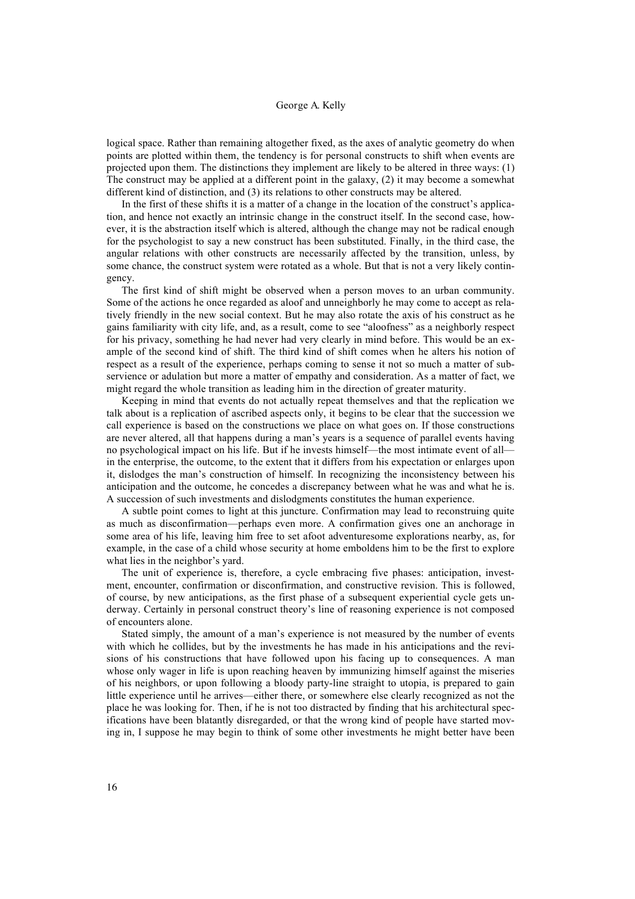logical space. Rather than remaining altogether fixed, as the axes of analytic geometry do when points are plotted within them, the tendency is for personal constructs to shift when events are projected upon them. The distinctions they implement are likely to be altered in three ways: (1) The construct may be applied at a different point in the galaxy, (2) it may become a somewhat different kind of distinction, and (3) its relations to other constructs may be altered.

In the first of these shifts it is a matter of a change in the location of the construct's application, and hence not exactly an intrinsic change in the construct itself. In the second case, however, it is the abstraction itself which is altered, although the change may not be radical enough for the psychologist to say a new construct has been substituted. Finally, in the third case, the angular relations with other constructs are necessarily affected by the transition, unless, by some chance, the construct system were rotated as a whole. But that is not a very likely contingency.

The first kind of shift might be observed when a person moves to an urban community. Some of the actions he once regarded as aloof and unneighborly he may come to accept as relatively friendly in the new social context. But he may also rotate the axis of his construct as he gains familiarity with city life, and, as a result, come to see "aloofness" as a neighborly respect for his privacy, something he had never had very clearly in mind before. This would be an example of the second kind of shift. The third kind of shift comes when he alters his notion of respect as a result of the experience, perhaps coming to sense it not so much a matter of subservience or adulation but more a matter of empathy and consideration. As a matter of fact, we might regard the whole transition as leading him in the direction of greater maturity.

Keeping in mind that events do not actually repeat themselves and that the replication we talk about is a replication of ascribed aspects only, it begins to be clear that the succession we call experience is based on the constructions we place on what goes on. If those constructions are never altered, all that happens during a man's years is a sequence of parallel events having no psychological impact on his life. But if he invests himself—the most intimate event of all in the enterprise, the outcome, to the extent that it differs from his expectation or enlarges upon it, dislodges the man's construction of himself. In recognizing the inconsistency between his anticipation and the outcome, he concedes a discrepancy between what he was and what he is. A succession of such investments and dislodgments constitutes the human experience.

A subtle point comes to light at this juncture. Confirmation may lead to reconstruing quite as much as disconfirmation—perhaps even more. A confirmation gives one an anchorage in some area of his life, leaving him free to set afoot adventuresome explorations nearby, as, for example, in the case of a child whose security at home emboldens him to be the first to explore what lies in the neighbor's yard.

The unit of experience is, therefore, a cycle embracing five phases: anticipation, investment, encounter, confirmation or disconfirmation, and constructive revision. This is followed, of course, by new anticipations, as the first phase of a subsequent experiential cycle gets underway. Certainly in personal construct theory's line of reasoning experience is not composed of encounters alone.

Stated simply, the amount of a man's experience is not measured by the number of events with which he collides, but by the investments he has made in his anticipations and the revisions of his constructions that have followed upon his facing up to consequences. A man whose only wager in life is upon reaching heaven by immunizing himself against the miseries of his neighbors, or upon following a bloody party-line straight to utopia, is prepared to gain little experience until he arrives—either there, or somewhere else clearly recognized as not the place he was looking for. Then, if he is not too distracted by finding that his architectural specifications have been blatantly disregarded, or that the wrong kind of people have started moving in, I suppose he may begin to think of some other investments he might better have been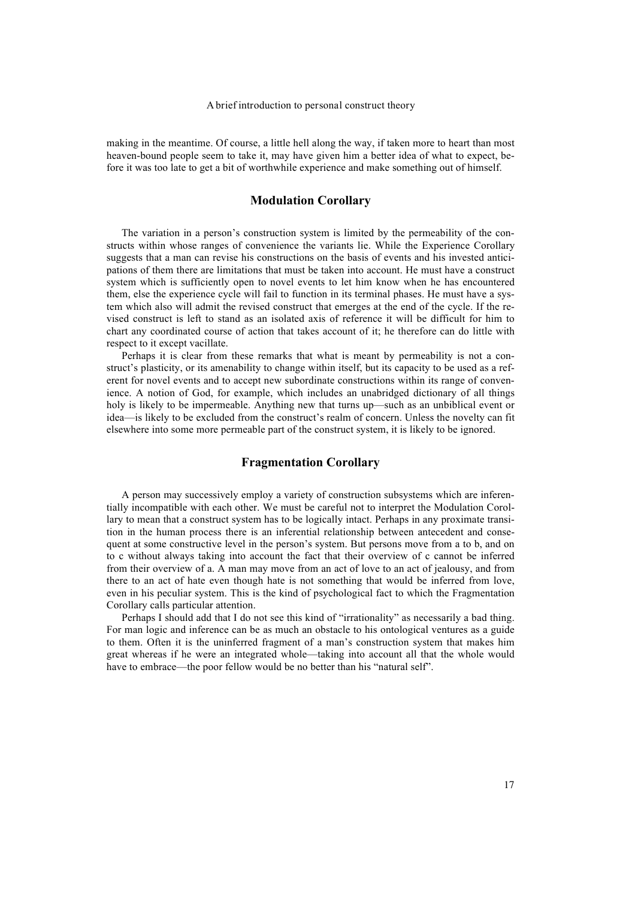making in the meantime. Of course, a little hell along the way, if taken more to heart than most heaven-bound people seem to take it, may have given him a better idea of what to expect, before it was too late to get a bit of worthwhile experience and make something out of himself.

### **Modulation Corollary**

The variation in a person's construction system is limited by the permeability of the constructs within whose ranges of convenience the variants lie. While the Experience Corollary suggests that a man can revise his constructions on the basis of events and his invested anticipations of them there are limitations that must be taken into account. He must have a construct system which is sufficiently open to novel events to let him know when he has encountered them, else the experience cycle will fail to function in its terminal phases. He must have a system which also will admit the revised construct that emerges at the end of the cycle. If the revised construct is left to stand as an isolated axis of reference it will be difficult for him to chart any coordinated course of action that takes account of it; he therefore can do little with respect to it except vacillate.

Perhaps it is clear from these remarks that what is meant by permeability is not a construct's plasticity, or its amenability to change within itself, but its capacity to be used as a referent for novel events and to accept new subordinate constructions within its range of convenience. A notion of God, for example, which includes an unabridged dictionary of all things holy is likely to be impermeable. Anything new that turns up—such as an unbiblical event or idea—is likely to be excluded from the construct's realm of concern. Unless the novelty can fit elsewhere into some more permeable part of the construct system, it is likely to be ignored.

# **Fragmentation Corollary**

A person may successively employ a variety of construction subsystems which are inferentially incompatible with each other. We must be careful not to interpret the Modulation Corollary to mean that a construct system has to be logically intact. Perhaps in any proximate transition in the human process there is an inferential relationship between antecedent and consequent at some constructive level in the person's system. But persons move from a to b, and on to c without always taking into account the fact that their overview of c cannot be inferred from their overview of a. A man may move from an act of love to an act of jealousy, and from there to an act of hate even though hate is not something that would be inferred from love, even in his peculiar system. This is the kind of psychological fact to which the Fragmentation Corollary calls particular attention.

Perhaps I should add that I do not see this kind of "irrationality" as necessarily a bad thing. For man logic and inference can be as much an obstacle to his ontological ventures as a guide to them. Often it is the uninferred fragment of a man's construction system that makes him great whereas if he were an integrated whole—taking into account all that the whole would have to embrace—the poor fellow would be no better than his "natural self".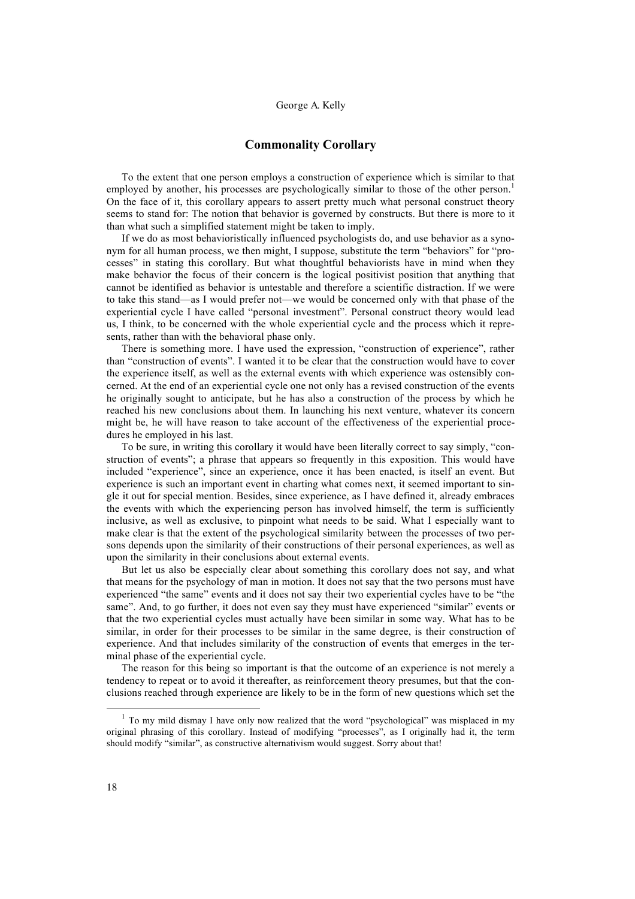# **Commonality Corollary**

To the extent that one person employs a construction of experience which is similar to that employed by another, his processes are psychologically similar to those of the other person.<sup>1</sup> On the face of it, this corollary appears to assert pretty much what personal construct theory seems to stand for: The notion that behavior is governed by constructs. But there is more to it than what such a simplified statement might be taken to imply.

If we do as most behavioristically influenced psychologists do, and use behavior as a synonym for all human process, we then might, I suppose, substitute the term "behaviors" for "processes" in stating this corollary. But what thoughtful behaviorists have in mind when they make behavior the focus of their concern is the logical positivist position that anything that cannot be identified as behavior is untestable and therefore a scientific distraction. If we were to take this stand—as I would prefer not—we would be concerned only with that phase of the experiential cycle I have called "personal investment". Personal construct theory would lead us, I think, to be concerned with the whole experiential cycle and the process which it represents, rather than with the behavioral phase only.

There is something more. I have used the expression, "construction of experience", rather than "construction of events". I wanted it to be clear that the construction would have to cover the experience itself, as well as the external events with which experience was ostensibly concerned. At the end of an experiential cycle one not only has a revised construction of the events he originally sought to anticipate, but he has also a construction of the process by which he reached his new conclusions about them. In launching his next venture, whatever its concern might be, he will have reason to take account of the effectiveness of the experiential procedures he employed in his last.

To be sure, in writing this corollary it would have been literally correct to say simply, "construction of events"; a phrase that appears so frequently in this exposition. This would have included "experience", since an experience, once it has been enacted, is itself an event. But experience is such an important event in charting what comes next, it seemed important to single it out for special mention. Besides, since experience, as I have defined it, already embraces the events with which the experiencing person has involved himself, the term is sufficiently inclusive, as well as exclusive, to pinpoint what needs to be said. What I especially want to make clear is that the extent of the psychological similarity between the processes of two persons depends upon the similarity of their constructions of their personal experiences, as well as upon the similarity in their conclusions about external events.

But let us also be especially clear about something this corollary does not say, and what that means for the psychology of man in motion. It does not say that the two persons must have experienced "the same" events and it does not say their two experiential cycles have to be "the same". And, to go further, it does not even say they must have experienced "similar" events or that the two experiential cycles must actually have been similar in some way. What has to be similar, in order for their processes to be similar in the same degree, is their construction of experience. And that includes similarity of the construction of events that emerges in the terminal phase of the experiential cycle.

The reason for this being so important is that the outcome of an experience is not merely a tendency to repeat or to avoid it thereafter, as reinforcement theory presumes, but that the conclusions reached through experience are likely to be in the form of new questions which set the

 $<sup>1</sup>$  To my mild dismay I have only now realized that the word "psychological" was misplaced in my</sup> original phrasing of this corollary. Instead of modifying "processes", as I originally had it, the term should modify "similar", as constructive alternativism would suggest. Sorry about that!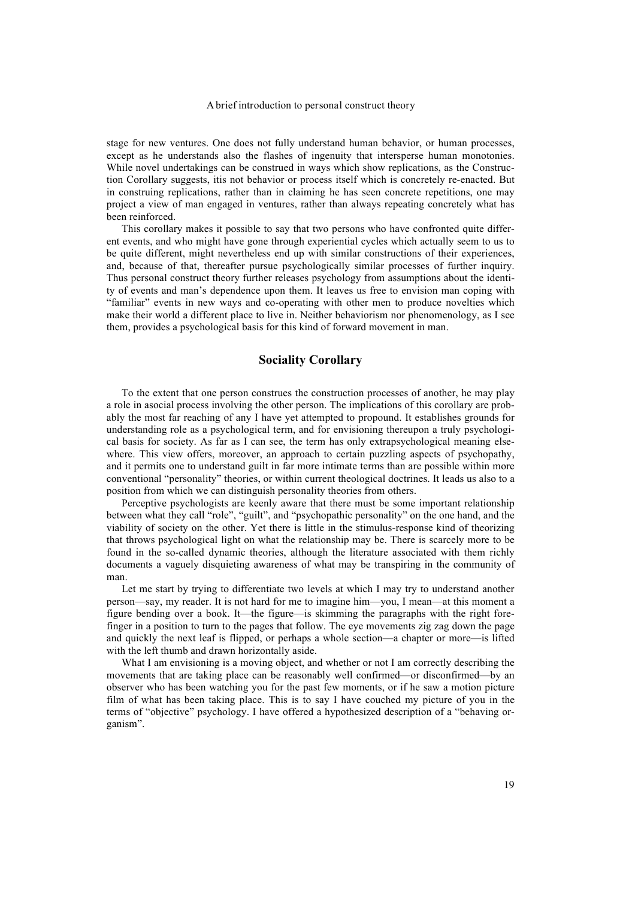stage for new ventures. One does not fully understand human behavior, or human processes, except as he understands also the flashes of ingenuity that intersperse human monotonies. While novel undertakings can be construed in ways which show replications, as the Construction Corollary suggests, itis not behavior or process itself which is concretely re-enacted. But in construing replications, rather than in claiming he has seen concrete repetitions, one may project a view of man engaged in ventures, rather than always repeating concretely what has been reinforced.

This corollary makes it possible to say that two persons who have confronted quite different events, and who might have gone through experiential cycles which actually seem to us to be quite different, might nevertheless end up with similar constructions of their experiences, and, because of that, thereafter pursue psychologically similar processes of further inquiry. Thus personal construct theory further releases psychology from assumptions about the identity of events and man's dependence upon them. It leaves us free to envision man coping with "familiar" events in new ways and co-operating with other men to produce novelties which make their world a different place to live in. Neither behaviorism nor phenomenology, as I see them, provides a psychological basis for this kind of forward movement in man.

# **Sociality Corollary**

To the extent that one person construes the construction processes of another, he may play a role in asocial process involving the other person. The implications of this corollary are probably the most far reaching of any I have yet attempted to propound. It establishes grounds for understanding role as a psychological term, and for envisioning thereupon a truly psychological basis for society. As far as I can see, the term has only extrapsychological meaning elsewhere. This view offers, moreover, an approach to certain puzzling aspects of psychopathy, and it permits one to understand guilt in far more intimate terms than are possible within more conventional "personality" theories, or within current theological doctrines. It leads us also to a position from which we can distinguish personality theories from others.

Perceptive psychologists are keenly aware that there must be some important relationship between what they call "role", "guilt", and "psychopathic personality" on the one hand, and the viability of society on the other. Yet there is little in the stimulus-response kind of theorizing that throws psychological light on what the relationship may be. There is scarcely more to be found in the so-called dynamic theories, although the literature associated with them richly documents a vaguely disquieting awareness of what may be transpiring in the community of man.

Let me start by trying to differentiate two levels at which I may try to understand another person—say, my reader. It is not hard for me to imagine him—you, I mean—at this moment a figure bending over a book. It—the figure—is skimming the paragraphs with the right forefinger in a position to turn to the pages that follow. The eye movements zig zag down the page and quickly the next leaf is flipped, or perhaps a whole section—a chapter or more—is lifted with the left thumb and drawn horizontally aside.

What I am envisioning is a moving object, and whether or not I am correctly describing the movements that are taking place can be reasonably well confirmed—or disconfirmed—by an observer who has been watching you for the past few moments, or if he saw a motion picture film of what has been taking place. This is to say I have couched my picture of you in the terms of "objective" psychology. I have offered a hypothesized description of a "behaving organism".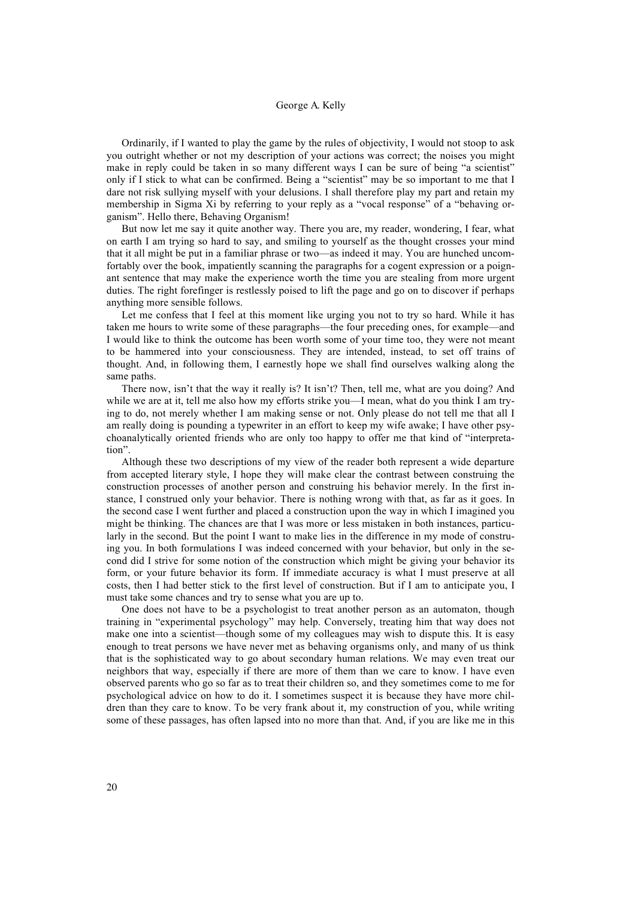Ordinarily, if I wanted to play the game by the rules of objectivity, I would not stoop to ask you outright whether or not my description of your actions was correct; the noises you might make in reply could be taken in so many different ways I can be sure of being "a scientist" only if I stick to what can be confirmed. Being a "scientist" may be so important to me that I dare not risk sullying myself with your delusions. I shall therefore play my part and retain my membership in Sigma Xi by referring to your reply as a "vocal response" of a "behaving organism". Hello there, Behaving Organism!

But now let me say it quite another way. There you are, my reader, wondering, I fear, what on earth I am trying so hard to say, and smiling to yourself as the thought crosses your mind that it all might be put in a familiar phrase or two—as indeed it may. You are hunched uncomfortably over the book, impatiently scanning the paragraphs for a cogent expression or a poignant sentence that may make the experience worth the time you are stealing from more urgent duties. The right forefinger is restlessly poised to lift the page and go on to discover if perhaps anything more sensible follows.

Let me confess that I feel at this moment like urging you not to try so hard. While it has taken me hours to write some of these paragraphs—the four preceding ones, for example—and I would like to think the outcome has been worth some of your time too, they were not meant to be hammered into your consciousness. They are intended, instead, to set off trains of thought. And, in following them, I earnestly hope we shall find ourselves walking along the same paths.

There now, isn't that the way it really is? It isn't? Then, tell me, what are you doing? And while we are at it, tell me also how my efforts strike you—I mean, what do you think I am trying to do, not merely whether I am making sense or not. Only please do not tell me that all I am really doing is pounding a typewriter in an effort to keep my wife awake; I have other psychoanalytically oriented friends who are only too happy to offer me that kind of "interpretation".

Although these two descriptions of my view of the reader both represent a wide departure from accepted literary style, I hope they will make clear the contrast between construing the construction processes of another person and construing his behavior merely. In the first instance, I construed only your behavior. There is nothing wrong with that, as far as it goes. In the second case I went further and placed a construction upon the way in which I imagined you might be thinking. The chances are that I was more or less mistaken in both instances, particularly in the second. But the point I want to make lies in the difference in my mode of construing you. In both formulations I was indeed concerned with your behavior, but only in the second did I strive for some notion of the construction which might be giving your behavior its form, or your future behavior its form. If immediate accuracy is what I must preserve at all costs, then I had better stick to the first level of construction. But if I am to anticipate you, I must take some chances and try to sense what you are up to.

One does not have to be a psychologist to treat another person as an automaton, though training in "experimental psychology" may help. Conversely, treating him that way does not make one into a scientist—though some of my colleagues may wish to dispute this. It is easy enough to treat persons we have never met as behaving organisms only, and many of us think that is the sophisticated way to go about secondary human relations. We may even treat our neighbors that way, especially if there are more of them than we care to know. I have even observed parents who go so far as to treat their children so, and they sometimes come to me for psychological advice on how to do it. I sometimes suspect it is because they have more children than they care to know. To be very frank about it, my construction of you, while writing some of these passages, has often lapsed into no more than that. And, if you are like me in this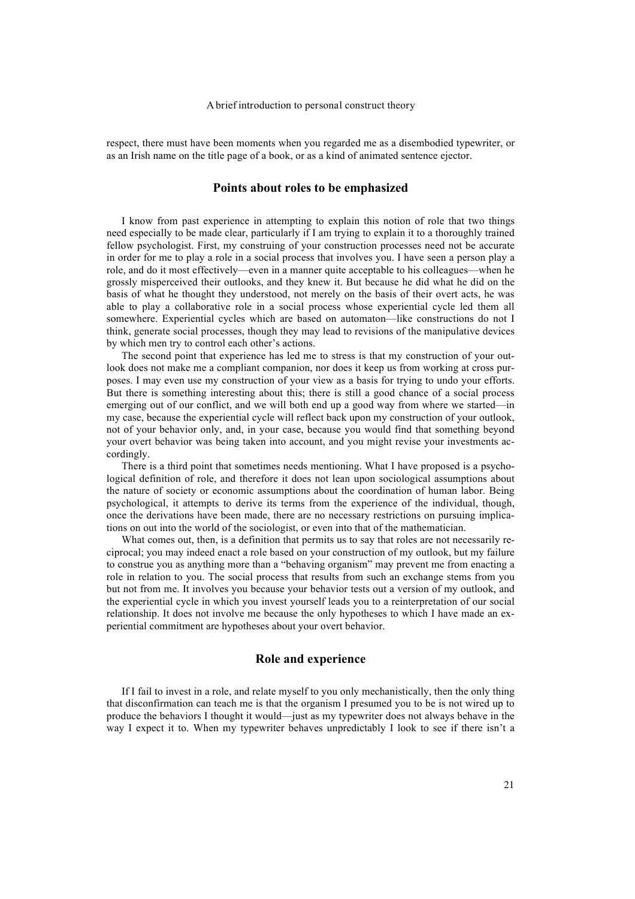respect, there must have been moments when you regarded me as a disembodied typewriter, or as an Irish name on the title page of a book, or as a kind of animated sentence ejector.

### **Points about roles to be emphasized**

I know from past experience in attempting to explain this notion of role that two things need especially to be made clear, particularly if I am trying to explain it to a thoroughly trained fellow psychologist. First, my construing of your construction processes need not be accurate in order for me to play a role in a social process that involves you. I have seen a person play a role, and do it most effectively—even in a manner quite acceptable to his colleagues—when he grossly misperceived their outlooks, and they knew it. But because he did what he did on the basis of what he thought they understood, not merely on the basis of their overt acts, he was able to play a collaborative role in a social process whose experiential cycle led them all somewhere. Experiential cycles which are based on automaton—like constructions do not I think, generate social processes, though they may lead to revisions of the manipulative devices by which men try to control each other's actions.

The second point that experience has led me to stress is that my construction of your outlook does not make me a compliant companion, nor does it keep us from working at cross purposes. I may even use my construction of your view as a basis for trying to undo your efforts. But there is something interesting about this; there is still a good chance of a social process emerging out of our conflict, and we will both end up a good way from where we started—in my case, because the experiential cycle will reflect back upon my construction of your outlook, not of your behavior only, and, in your case, because you would find that something beyond your overt behavior was being taken into account, and you might revise your investments accordingly.

There is a third point that sometimes needs mentioning. What I have proposed is a psychological definition of role, and therefore it does not lean upon sociological assumptions about the nature of society or economic assumptions about the coordination of human labor. Being psychological, it attempts to derive its terms from the experience of the individual, though, once the derivations have been made, there are no necessary restrictions on pursuing implications on out into the world of the sociologist, or even into that of the mathematician.

What comes out, then, is a definition that permits us to say that roles are not necessarily reciprocal; you may indeed enact a role based on your construction of my outlook, but my failure to construe you as anything more than a "behaving organism" may prevent me from enacting a role in relation to you. The social process that results from such an exchange stems from you but not from me. It involves you because your behavior tests out a version of my outlook, and the experiential cycle in which you invest yourself leads you to a reinterpretation of our social relationship. It does not involve me because the only hypotheses to which I have made an experiential commitment are hypotheses about your overt behavior.

# **Role and experience**

If I fail to invest in a role, and relate myself to you only mechanistically, then the only thing that disconfirmation can teach me is that the organism I presumed you to be is not wired up to produce the behaviors I thought it would—just as my typewriter does not always behave in the way I expect it to. When my typewriter behaves unpredictably I look to see if there isn't a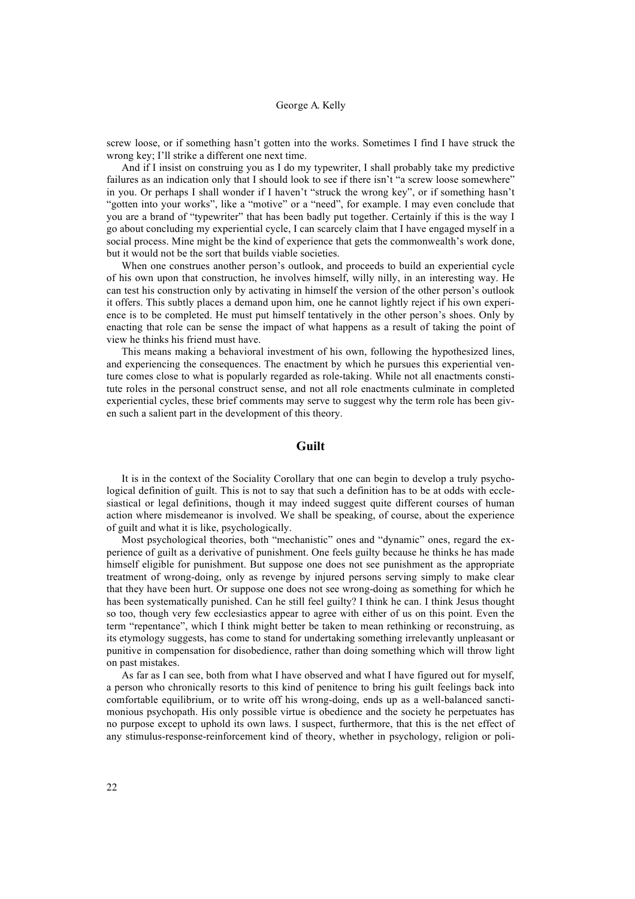screw loose, or if something hasn't gotten into the works. Sometimes I find I have struck the wrong key; I'll strike a different one next time.

And if I insist on construing you as I do my typewriter, I shall probably take my predictive failures as an indication only that I should look to see if there isn't "a screw loose somewhere" in you. Or perhaps I shall wonder if I haven't "struck the wrong key", or if something hasn't "gotten into your works", like a "motive" or a "need", for example. I may even conclude that you are a brand of "typewriter" that has been badly put together. Certainly if this is the way I go about concluding my experiential cycle, I can scarcely claim that I have engaged myself in a social process. Mine might be the kind of experience that gets the commonwealth's work done, but it would not be the sort that builds viable societies.

When one construes another person's outlook, and proceeds to build an experiential cycle of his own upon that construction, he involves himself, willy nilly, in an interesting way. He can test his construction only by activating in himself the version of the other person's outlook it offers. This subtly places a demand upon him, one he cannot lightly reject if his own experience is to be completed. He must put himself tentatively in the other person's shoes. Only by enacting that role can be sense the impact of what happens as a result of taking the point of view he thinks his friend must have.

This means making a behavioral investment of his own, following the hypothesized lines, and experiencing the consequences. The enactment by which he pursues this experiential venture comes close to what is popularly regarded as role-taking. While not all enactments constitute roles in the personal construct sense, and not all role enactments culminate in completed experiential cycles, these brief comments may serve to suggest why the term role has been given such a salient part in the development of this theory.

### **Guilt**

It is in the context of the Sociality Corollary that one can begin to develop a truly psychological definition of guilt. This is not to say that such a definition has to be at odds with ecclesiastical or legal definitions, though it may indeed suggest quite different courses of human action where misdemeanor is involved. We shall be speaking, of course, about the experience of guilt and what it is like, psychologically.

Most psychological theories, both "mechanistic" ones and "dynamic" ones, regard the experience of guilt as a derivative of punishment. One feels guilty because he thinks he has made himself eligible for punishment. But suppose one does not see punishment as the appropriate treatment of wrong-doing, only as revenge by injured persons serving simply to make clear that they have been hurt. Or suppose one does not see wrong-doing as something for which he has been systematically punished. Can he still feel guilty? I think he can. I think Jesus thought so too, though very few ecclesiastics appear to agree with either of us on this point. Even the term "repentance", which I think might better be taken to mean rethinking or reconstruing, as its etymology suggests, has come to stand for undertaking something irrelevantly unpleasant or punitive in compensation for disobedience, rather than doing something which will throw light on past mistakes.

As far as I can see, both from what I have observed and what I have figured out for myself, a person who chronically resorts to this kind of penitence to bring his guilt feelings back into comfortable equilibrium, or to write off his wrong-doing, ends up as a well-balanced sanctimonious psychopath. His only possible virtue is obedience and the society he perpetuates has no purpose except to uphold its own laws. I suspect, furthermore, that this is the net effect of any stimulus-response-reinforcement kind of theory, whether in psychology, religion or poli-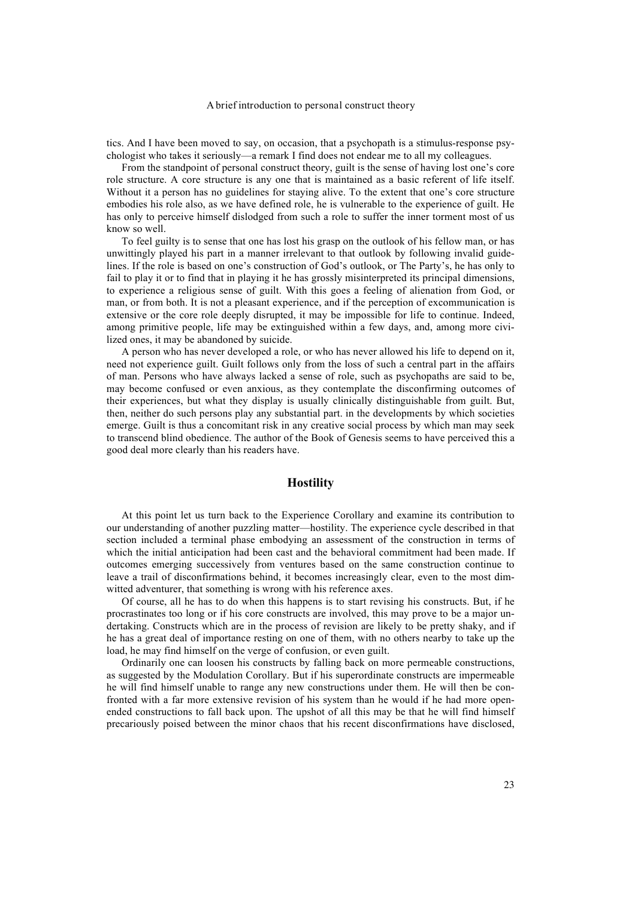tics. And I have been moved to say, on occasion, that a psychopath is a stimulus-response psychologist who takes it seriously—a remark I find does not endear me to all my colleagues.

From the standpoint of personal construct theory, guilt is the sense of having lost one's core role structure. A core structure is any one that is maintained as a basic referent of life itself. Without it a person has no guidelines for staying alive. To the extent that one's core structure embodies his role also, as we have defined role, he is vulnerable to the experience of guilt. He has only to perceive himself dislodged from such a role to suffer the inner torment most of us know so well.

To feel guilty is to sense that one has lost his grasp on the outlook of his fellow man, or has unwittingly played his part in a manner irrelevant to that outlook by following invalid guidelines. If the role is based on one's construction of God's outlook, or The Party's, he has only to fail to play it or to find that in playing it he has grossly misinterpreted its principal dimensions, to experience a religious sense of guilt. With this goes a feeling of alienation from God, or man, or from both. It is not a pleasant experience, and if the perception of excommunication is extensive or the core role deeply disrupted, it may be impossible for life to continue. Indeed, among primitive people, life may be extinguished within a few days, and, among more civilized ones, it may be abandoned by suicide.

A person who has never developed a role, or who has never allowed his life to depend on it, need not experience guilt. Guilt follows only from the loss of such a central part in the affairs of man. Persons who have always lacked a sense of role, such as psychopaths are said to be, may become confused or even anxious, as they contemplate the disconfirming outcomes of their experiences, but what they display is usually clinically distinguishable from guilt. But, then, neither do such persons play any substantial part. in the developments by which societies emerge. Guilt is thus a concomitant risk in any creative social process by which man may seek to transcend blind obedience. The author of the Book of Genesis seems to have perceived this a good deal more clearly than his readers have.

### **Hostility**

At this point let us turn back to the Experience Corollary and examine its contribution to our understanding of another puzzling matter—hostility. The experience cycle described in that section included a terminal phase embodying an assessment of the construction in terms of which the initial anticipation had been cast and the behavioral commitment had been made. If outcomes emerging successively from ventures based on the same construction continue to leave a trail of disconfirmations behind, it becomes increasingly clear, even to the most dimwitted adventurer, that something is wrong with his reference axes.

Of course, all he has to do when this happens is to start revising his constructs. But, if he procrastinates too long or if his core constructs are involved, this may prove to be a major undertaking. Constructs which are in the process of revision are likely to be pretty shaky, and if he has a great deal of importance resting on one of them, with no others nearby to take up the load, he may find himself on the verge of confusion, or even guilt.

Ordinarily one can loosen his constructs by falling back on more permeable constructions, as suggested by the Modulation Corollary. But if his superordinate constructs are impermeable he will find himself unable to range any new constructions under them. He will then be confronted with a far more extensive revision of his system than he would if he had more openended constructions to fall back upon. The upshot of all this may be that he will find himself precariously poised between the minor chaos that his recent disconfirmations have disclosed,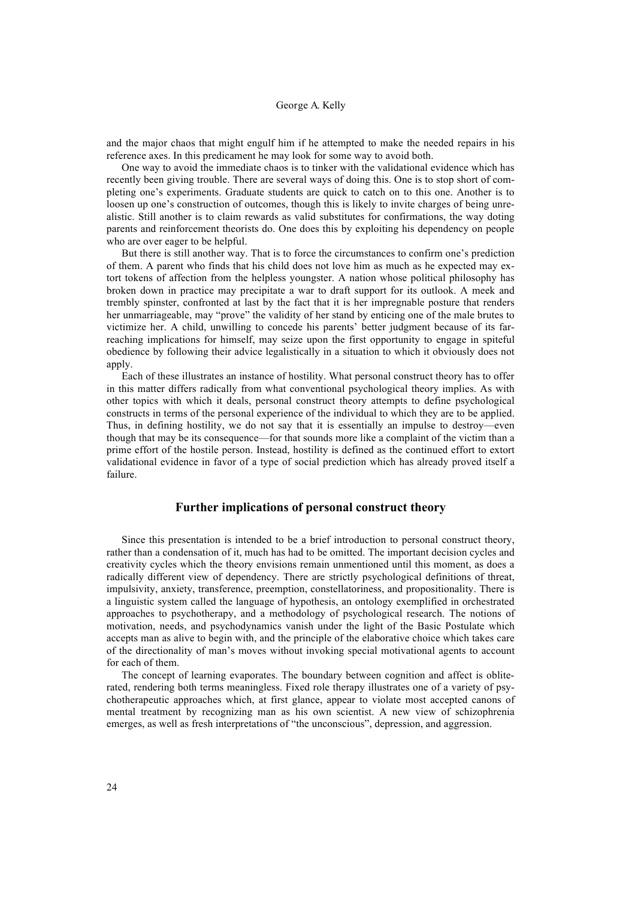and the major chaos that might engulf him if he attempted to make the needed repairs in his reference axes. In this predicament he may look for some way to avoid both.

One way to avoid the immediate chaos is to tinker with the validational evidence which has recently been giving trouble. There are several ways of doing this. One is to stop short of completing one's experiments. Graduate students are quick to catch on to this one. Another is to loosen up one's construction of outcomes, though this is likely to invite charges of being unrealistic. Still another is to claim rewards as valid substitutes for confirmations, the way doting parents and reinforcement theorists do. One does this by exploiting his dependency on people who are over eager to be helpful.

But there is still another way. That is to force the circumstances to confirm one's prediction of them. A parent who finds that his child does not love him as much as he expected may extort tokens of affection from the helpless youngster. A nation whose political philosophy has broken down in practice may precipitate a war to draft support for its outlook. A meek and trembly spinster, confronted at last by the fact that it is her impregnable posture that renders her unmarriageable, may "prove" the validity of her stand by enticing one of the male brutes to victimize her. A child, unwilling to concede his parents' better judgment because of its farreaching implications for himself, may seize upon the first opportunity to engage in spiteful obedience by following their advice legalistically in a situation to which it obviously does not apply.

Each of these illustrates an instance of hostility. What personal construct theory has to offer in this matter differs radically from what conventional psychological theory implies. As with other topics with which it deals, personal construct theory attempts to define psychological constructs in terms of the personal experience of the individual to which they are to be applied. Thus, in defining hostility, we do not say that it is essentially an impulse to destroy—even though that may be its consequence—for that sounds more like a complaint of the victim than a prime effort of the hostile person. Instead, hostility is defined as the continued effort to extort validational evidence in favor of a type of social prediction which has already proved itself a failure.

# **Further implications of personal construct theory**

Since this presentation is intended to be a brief introduction to personal construct theory, rather than a condensation of it, much has had to be omitted. The important decision cycles and creativity cycles which the theory envisions remain unmentioned until this moment, as does a radically different view of dependency. There are strictly psychological definitions of threat, impulsivity, anxiety, transference, preemption, constellatoriness, and propositionality. There is a linguistic system called the language of hypothesis, an ontology exemplified in orchestrated approaches to psychotherapy, and a methodology of psychological research. The notions of motivation, needs, and psychodynamics vanish under the light of the Basic Postulate which accepts man as alive to begin with, and the principle of the elaborative choice which takes care of the directionality of man's moves without invoking special motivational agents to account for each of them.

The concept of learning evaporates. The boundary between cognition and affect is obliterated, rendering both terms meaningless. Fixed role therapy illustrates one of a variety of psychotherapeutic approaches which, at first glance, appear to violate most accepted canons of mental treatment by recognizing man as his own scientist. A new view of schizophrenia emerges, as well as fresh interpretations of "the unconscious", depression, and aggression.